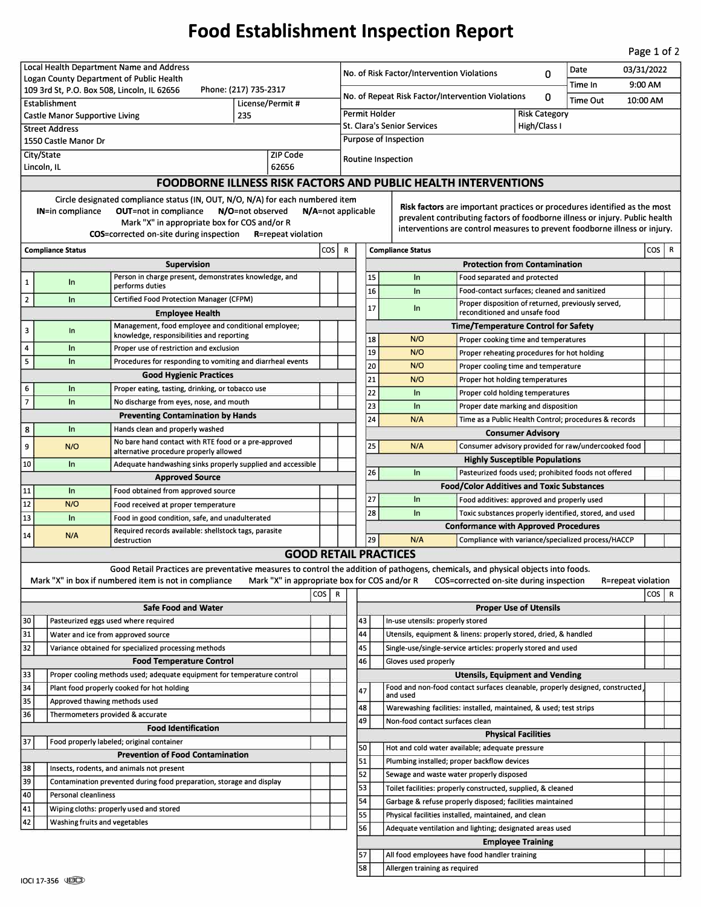## **Food Establishment Inspection Report**

Page 1 of 2

| Local Health Department Name and Address                                                                                                   |                                                                       |                                                                                                                                   |                                              |                  |                                       | Date<br>No. of Risk Factor/Intervention Violations                                                                                    |                                                                            |                                                                                |                                                                                                          |                          |  | 03/31/2022         |            |              |
|--------------------------------------------------------------------------------------------------------------------------------------------|-----------------------------------------------------------------------|-----------------------------------------------------------------------------------------------------------------------------------|----------------------------------------------|------------------|---------------------------------------|---------------------------------------------------------------------------------------------------------------------------------------|----------------------------------------------------------------------------|--------------------------------------------------------------------------------|----------------------------------------------------------------------------------------------------------|--------------------------|--|--------------------|------------|--------------|
| Logan County Department of Public Health                                                                                                   |                                                                       |                                                                                                                                   |                                              |                  |                                       | 0<br>Time In                                                                                                                          |                                                                            |                                                                                |                                                                                                          |                          |  | 9:00 AM            |            |              |
| 109 3rd St, P.O. Box 508, Lincoln, IL 62656<br>Phone: (217) 735-2317<br>Establishment<br>License/Permit#                                   |                                                                       |                                                                                                                                   |                                              |                  |                                       | No. of Repeat Risk Factor/Intervention Violations<br>0<br><b>Time Out</b>                                                             |                                                                            |                                                                                |                                                                                                          |                          |  | 10:00 AM           |            |              |
| <b>Castle Manor Supportive Living</b><br>235                                                                                               |                                                                       |                                                                                                                                   |                                              |                  | Permit Holder<br><b>Risk Category</b> |                                                                                                                                       |                                                                            |                                                                                |                                                                                                          |                          |  |                    |            |              |
| <b>Street Address</b>                                                                                                                      |                                                                       |                                                                                                                                   |                                              |                  |                                       | <b>St. Clara's Senior Services</b><br>High/Class I                                                                                    |                                                                            |                                                                                |                                                                                                          |                          |  |                    |            |              |
| 1550 Castle Manor Dr                                                                                                                       |                                                                       |                                                                                                                                   |                                              |                  |                                       | Purpose of Inspection                                                                                                                 |                                                                            |                                                                                |                                                                                                          |                          |  |                    |            |              |
| City/State<br>ZIP Code                                                                                                                     |                                                                       |                                                                                                                                   |                                              |                  |                                       | Routine Inspection                                                                                                                    |                                                                            |                                                                                |                                                                                                          |                          |  |                    |            |              |
| 62656<br>Lincoln, IL                                                                                                                       |                                                                       |                                                                                                                                   |                                              |                  |                                       |                                                                                                                                       |                                                                            |                                                                                |                                                                                                          |                          |  |                    |            |              |
|                                                                                                                                            | <b>FOODBORNE ILLNESS RISK FACTORS AND PUBLIC HEALTH INTERVENTIONS</b> |                                                                                                                                   |                                              |                  |                                       |                                                                                                                                       |                                                                            |                                                                                |                                                                                                          |                          |  |                    |            |              |
| Circle designated compliance status (IN, OUT, N/O, N/A) for each numbered item                                                             |                                                                       |                                                                                                                                   |                                              |                  |                                       |                                                                                                                                       |                                                                            |                                                                                | Risk factors are important practices or procedures identified as the most                                |                          |  |                    |            |              |
| <b>OUT=not in compliance</b><br>N/O=not observed<br>N/A=not applicable<br>IN=in compliance<br>Mark "X" in appropriate box for COS and/or R |                                                                       |                                                                                                                                   |                                              |                  |                                       |                                                                                                                                       |                                                                            |                                                                                | prevalent contributing factors of foodborne illness or injury. Public health                             |                          |  |                    |            |              |
|                                                                                                                                            |                                                                       | <b>COS</b> =corrected on-site during inspection                                                                                   |                                              |                  |                                       |                                                                                                                                       | interventions are control measures to prevent foodborne illness or injury. |                                                                                |                                                                                                          |                          |  |                    |            |              |
|                                                                                                                                            | <b>Compliance Status</b>                                              |                                                                                                                                   | <b>R</b> =repeat violation                   | cos <sup>1</sup> | R                                     |                                                                                                                                       |                                                                            | <b>Compliance Status</b>                                                       |                                                                                                          |                          |  |                    | cos        | $\mathsf{R}$ |
|                                                                                                                                            |                                                                       | Supervision                                                                                                                       |                                              |                  |                                       |                                                                                                                                       |                                                                            |                                                                                | <b>Protection from Contamination</b>                                                                     |                          |  |                    |            |              |
| $\mathbf{1}$                                                                                                                               | In                                                                    | Person in charge present, demonstrates knowledge, and                                                                             |                                              |                  |                                       |                                                                                                                                       | 15                                                                         | In                                                                             | Food separated and protected                                                                             |                          |  |                    |            |              |
|                                                                                                                                            |                                                                       | performs duties                                                                                                                   |                                              |                  |                                       |                                                                                                                                       | 16                                                                         | In                                                                             | Food-contact surfaces; cleaned and sanitized                                                             |                          |  |                    |            |              |
| $\overline{2}$                                                                                                                             | In.                                                                   | Certified Food Protection Manager (CFPM)                                                                                          |                                              |                  |                                       |                                                                                                                                       | 17                                                                         | In                                                                             | Proper disposition of returned, previously served,                                                       |                          |  |                    |            |              |
|                                                                                                                                            |                                                                       | <b>Employee Health</b><br>Management, food employee and conditional employee;                                                     |                                              |                  |                                       |                                                                                                                                       |                                                                            |                                                                                | reconditioned and unsafe food                                                                            |                          |  |                    |            |              |
| $\overline{\mathbf{3}}$                                                                                                                    | In                                                                    | knowledge, responsibilities and reporting                                                                                         |                                              |                  |                                       | <b>Time/Temperature Control for Safety</b><br>18<br>N/O<br>Proper cooking time and temperatures                                       |                                                                            |                                                                                |                                                                                                          |                          |  |                    |            |              |
| 4                                                                                                                                          | In                                                                    | Proper use of restriction and exclusion                                                                                           |                                              |                  |                                       |                                                                                                                                       | 19                                                                         | N/O                                                                            | Proper reheating procedures for hot holding                                                              |                          |  |                    |            |              |
| 5                                                                                                                                          | In.                                                                   | Procedures for responding to vomiting and diarrheal events                                                                        |                                              |                  |                                       |                                                                                                                                       | 20                                                                         | N/O                                                                            | Proper cooling time and temperature                                                                      |                          |  |                    |            |              |
|                                                                                                                                            |                                                                       | <b>Good Hygienic Practices</b>                                                                                                    |                                              |                  |                                       |                                                                                                                                       | 21                                                                         | N/O                                                                            | Proper hot holding temperatures                                                                          |                          |  |                    |            |              |
| 6                                                                                                                                          | In.                                                                   | Proper eating, tasting, drinking, or tobacco use                                                                                  |                                              |                  |                                       |                                                                                                                                       | 22                                                                         | $\ln$                                                                          | Proper cold holding temperatures                                                                         |                          |  |                    |            |              |
| $\overline{7}$                                                                                                                             | ln                                                                    | No discharge from eyes, nose, and mouth                                                                                           |                                              |                  |                                       |                                                                                                                                       | 23                                                                         | $\ln$                                                                          | Proper date marking and disposition                                                                      |                          |  |                    |            |              |
|                                                                                                                                            | In.                                                                   | <b>Preventing Contamination by Hands</b>                                                                                          |                                              |                  |                                       |                                                                                                                                       | 24                                                                         | N/A                                                                            | Time as a Public Health Control; procedures & records                                                    |                          |  |                    |            |              |
| 8                                                                                                                                          |                                                                       | Hands clean and properly washed<br>No bare hand contact with RTE food or a pre-approved                                           |                                              |                  |                                       |                                                                                                                                       |                                                                            |                                                                                |                                                                                                          | <b>Consumer Advisory</b> |  |                    |            |              |
| 9                                                                                                                                          | N/O                                                                   | alternative procedure properly allowed                                                                                            |                                              |                  |                                       |                                                                                                                                       | 25                                                                         | N/A                                                                            | Consumer advisory provided for raw/undercooked food                                                      |                          |  |                    |            |              |
| 10                                                                                                                                         | In.                                                                   | Adequate handwashing sinks properly supplied and accessible                                                                       |                                              |                  |                                       |                                                                                                                                       |                                                                            |                                                                                | <b>Highly Susceptible Populations</b>                                                                    |                          |  |                    |            |              |
|                                                                                                                                            |                                                                       | <b>Approved Source</b>                                                                                                            |                                              |                  |                                       |                                                                                                                                       | 26                                                                         | In                                                                             | Pasteurized foods used; prohibited foods not offered<br><b>Food/Color Additives and Toxic Substances</b> |                          |  |                    |            |              |
| 11                                                                                                                                         | In.                                                                   | Food obtained from approved source                                                                                                |                                              |                  |                                       |                                                                                                                                       | 27                                                                         | In                                                                             | Food additives: approved and properly used                                                               |                          |  |                    |            |              |
| 12                                                                                                                                         | N/O                                                                   | Food received at proper temperature                                                                                               |                                              |                  |                                       |                                                                                                                                       | 28                                                                         | In                                                                             | Toxic substances properly identified, stored, and used                                                   |                          |  |                    |            |              |
| 13                                                                                                                                         | In.                                                                   | Food in good condition, safe, and unadulterated<br>Required records available: shellstock tags, parasite                          |                                              |                  |                                       |                                                                                                                                       |                                                                            |                                                                                | <b>Conformance with Approved Procedures</b>                                                              |                          |  |                    |            |              |
| 14                                                                                                                                         | N/A                                                                   | destruction                                                                                                                       |                                              |                  |                                       |                                                                                                                                       | 29                                                                         | N/A                                                                            | Compliance with variance/specialized process/HACCP                                                       |                          |  |                    |            |              |
|                                                                                                                                            |                                                                       |                                                                                                                                   |                                              |                  |                                       |                                                                                                                                       |                                                                            | <b>GOOD RETAIL PRACTICES</b>                                                   |                                                                                                          |                          |  |                    |            |              |
|                                                                                                                                            |                                                                       | Good Retail Practices are preventative measures to control the addition of pathogens, chemicals, and physical objects into foods. |                                              |                  |                                       |                                                                                                                                       |                                                                            |                                                                                |                                                                                                          |                          |  |                    |            |              |
|                                                                                                                                            |                                                                       | Mark "X" in box if numbered item is not in compliance                                                                             | Mark "X" in appropriate box for COS and/or R |                  |                                       |                                                                                                                                       |                                                                            |                                                                                | COS=corrected on-site during inspection                                                                  |                          |  | R=repeat violation |            |              |
| cos I<br>R                                                                                                                                 |                                                                       |                                                                                                                                   |                                              |                  |                                       |                                                                                                                                       |                                                                            |                                                                                |                                                                                                          |                          |  |                    | $\cos   R$ |              |
| 30                                                                                                                                         | <b>Safe Food and Water</b>                                            |                                                                                                                                   |                                              |                  |                                       | <b>Proper Use of Utensils</b><br>43<br>In-use utensils: properly stored                                                               |                                                                            |                                                                                |                                                                                                          |                          |  |                    |            |              |
| 31                                                                                                                                         |                                                                       | Pasteurized eggs used where required<br>Water and ice from approved source                                                        |                                              |                  |                                       | 44                                                                                                                                    |                                                                            |                                                                                |                                                                                                          |                          |  |                    |            |              |
| 32                                                                                                                                         | Variance obtained for specialized processing methods                  |                                                                                                                                   |                                              |                  |                                       | Utensils, equipment & linens: properly stored, dried, & handled<br>45<br>Single-use/single-service articles: properly stored and used |                                                                            |                                                                                |                                                                                                          |                          |  |                    |            |              |
|                                                                                                                                            |                                                                       | <b>Food Temperature Control</b>                                                                                                   |                                              |                  |                                       | 46                                                                                                                                    |                                                                            | Gloves used properly                                                           |                                                                                                          |                          |  |                    |            |              |
| 33                                                                                                                                         |                                                                       | Proper cooling methods used; adequate equipment for temperature control                                                           |                                              |                  |                                       |                                                                                                                                       |                                                                            |                                                                                | <b>Utensils, Equipment and Vending</b>                                                                   |                          |  |                    |            |              |
| 34                                                                                                                                         | Plant food properly cooked for hot holding                            |                                                                                                                                   |                                              |                  |                                       | Food and non-food contact surfaces cleanable, properly designed, constructed,<br>47                                                   |                                                                            |                                                                                |                                                                                                          |                          |  |                    |            |              |
| 35                                                                                                                                         | Approved thawing methods used                                         |                                                                                                                                   |                                              |                  |                                       | 48                                                                                                                                    |                                                                            | and used<br>Warewashing facilities: installed, maintained, & used; test strips |                                                                                                          |                          |  |                    |            |              |
| 36<br>Thermometers provided & accurate                                                                                                     |                                                                       |                                                                                                                                   |                                              |                  |                                       | 49                                                                                                                                    |                                                                            | Non-food contact surfaces clean                                                |                                                                                                          |                          |  |                    |            |              |
| <b>Food Identification</b>                                                                                                                 |                                                                       |                                                                                                                                   |                                              |                  |                                       |                                                                                                                                       |                                                                            |                                                                                | <b>Physical Facilities</b>                                                                               |                          |  |                    |            |              |
| 37                                                                                                                                         |                                                                       | Food properly labeled; original container                                                                                         |                                              |                  |                                       | 50                                                                                                                                    |                                                                            | Hot and cold water available; adequate pressure                                |                                                                                                          |                          |  |                    |            |              |
| <b>Prevention of Food Contamination</b><br>38<br>Insects, rodents, and animals not present                                                 |                                                                       |                                                                                                                                   |                                              |                  |                                       | 51                                                                                                                                    |                                                                            | Plumbing installed; proper backflow devices                                    |                                                                                                          |                          |  |                    |            |              |
| 39                                                                                                                                         | Contamination prevented during food preparation, storage and display  |                                                                                                                                   |                                              |                  |                                       | 52                                                                                                                                    |                                                                            | Sewage and waste water properly disposed                                       |                                                                                                          |                          |  |                    |            |              |
| 40<br>Personal cleanliness                                                                                                                 |                                                                       |                                                                                                                                   |                                              |                  |                                       | 53                                                                                                                                    |                                                                            | Toilet facilities: properly constructed, supplied, & cleaned                   |                                                                                                          |                          |  |                    |            |              |
| 41<br>Wiping cloths: properly used and stored                                                                                              |                                                                       |                                                                                                                                   |                                              |                  |                                       | 54                                                                                                                                    |                                                                            | Garbage & refuse properly disposed; facilities maintained                      |                                                                                                          |                          |  |                    |            |              |
| 42<br>Washing fruits and vegetables                                                                                                        |                                                                       |                                                                                                                                   |                                              |                  |                                       | 55<br>Physical facilities installed, maintained, and clean<br>56<br>Adequate ventilation and lighting; designated areas used          |                                                                            |                                                                                |                                                                                                          |                          |  |                    |            |              |
|                                                                                                                                            |                                                                       |                                                                                                                                   |                                              |                  |                                       |                                                                                                                                       |                                                                            |                                                                                | <b>Employee Training</b>                                                                                 |                          |  |                    |            |              |
|                                                                                                                                            |                                                                       |                                                                                                                                   |                                              |                  |                                       | 57                                                                                                                                    |                                                                            | All food employees have food handler training                                  |                                                                                                          |                          |  |                    |            |              |
|                                                                                                                                            |                                                                       |                                                                                                                                   |                                              |                  |                                       | 58                                                                                                                                    |                                                                            | Allergen training as required                                                  |                                                                                                          |                          |  |                    |            |              |